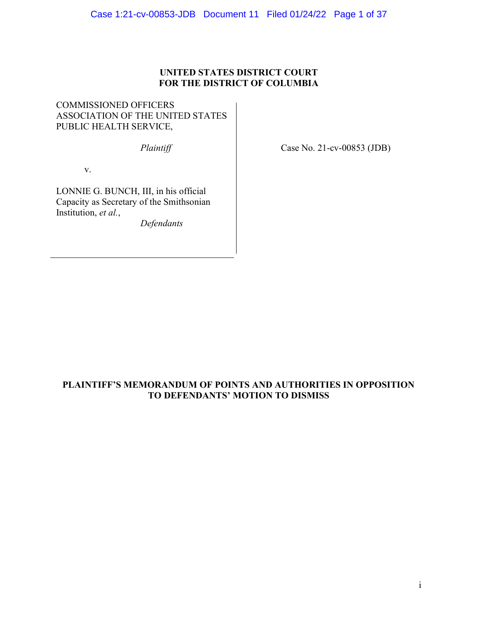#### UNITED STATES DISTRICT COURT FOR THE DISTRICT OF COLUMBIA

COMMISSIONED OFFICERS ASSOCIATION OF THE UNITED STATES PUBLIC HEALTH SERVICE,

v.

 $\overline{a}$ 

LONNIE G. BUNCH, III, in his official Capacity as Secretary of the Smithsonian Institution, et al.,

Defendants

Plaintiff Case No. 21-cv-00853 (JDB)

#### PLAINTIFF'S MEMORANDUM OF POINTS AND AUTHORITIES IN OPPOSITION TO DEFENDANTS' MOTION TO DISMISS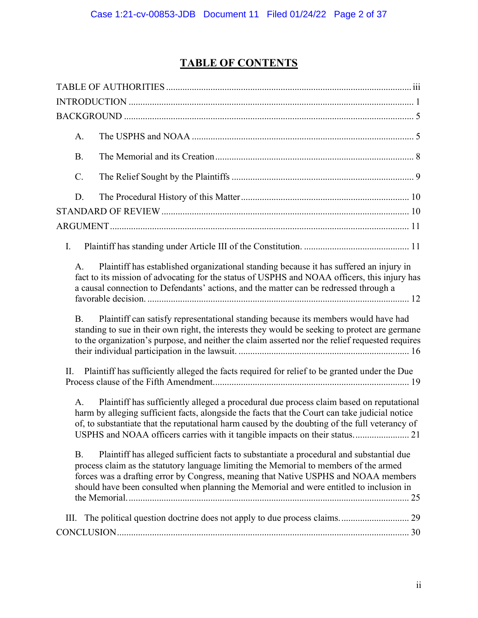## TABLE OF CONTENTS

| A.             |                                                                                                                                                                                                                                                                                                                                                                            |
|----------------|----------------------------------------------------------------------------------------------------------------------------------------------------------------------------------------------------------------------------------------------------------------------------------------------------------------------------------------------------------------------------|
| <b>B.</b>      |                                                                                                                                                                                                                                                                                                                                                                            |
| $C$ .          |                                                                                                                                                                                                                                                                                                                                                                            |
| D.             |                                                                                                                                                                                                                                                                                                                                                                            |
|                |                                                                                                                                                                                                                                                                                                                                                                            |
|                |                                                                                                                                                                                                                                                                                                                                                                            |
| Ι.             |                                                                                                                                                                                                                                                                                                                                                                            |
| A.             | Plaintiff has established organizational standing because it has suffered an injury in<br>fact to its mission of advocating for the status of USPHS and NOAA officers, this injury has<br>a causal connection to Defendants' actions, and the matter can be redressed through a                                                                                            |
| <b>B.</b>      | Plaintiff can satisfy representational standing because its members would have had<br>standing to sue in their own right, the interests they would be seeking to protect are germane<br>to the organization's purpose, and neither the claim asserted nor the relief requested requires                                                                                    |
| Π.             | Plaintiff has sufficiently alleged the facts required for relief to be granted under the Due                                                                                                                                                                                                                                                                               |
| A <sub>1</sub> | Plaintiff has sufficiently alleged a procedural due process claim based on reputational<br>harm by alleging sufficient facts, alongside the facts that the Court can take judicial notice<br>of, to substantiate that the reputational harm caused by the doubting of the full veterancy of<br>USPHS and NOAA officers carries with it tangible impacts on their status 21 |
| <b>B.</b>      | Plaintiff has alleged sufficient facts to substantiate a procedural and substantial due<br>process claim as the statutory language limiting the Memorial to members of the armed<br>forces was a drafting error by Congress, meaning that Native USPHS and NOAA members<br>should have been consulted when planning the Memorial and were entitled to inclusion in         |
| III.           | The political question doctrine does not apply to due process claims 29                                                                                                                                                                                                                                                                                                    |
|                |                                                                                                                                                                                                                                                                                                                                                                            |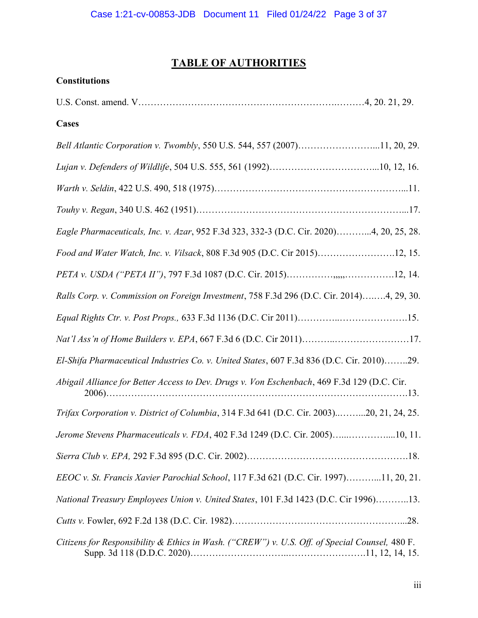### TABLE OF AUTHORITIES

# **Constitutions** U.S. Const. amend. V……………………………………………………….………4, 20. 21, 29. Cases Bell Atlantic Corporation v. Twombly, 550 U.S. 544, 557 (2007)……………………...11, 20, 29. Lujan v. Defenders of Wildlife, 504 U.S. 555, 561 (1992)……………………………...10, 12, 16. Warth v. Seldin, 422 U.S. 490, 518 (1975)……………………………………………………...11. Touhy v. Regan, 340 U.S. 462 (1951)…………………………………………………………...17. Eagle Pharmaceuticals, Inc. v. Azar, 952 F.3d 323, 332-3 (D.C. Cir. 2020)………...4, 20, 25, 28. Food and Water Watch, Inc. v. Vilsack, 808 F.3d 905 (D.C. Cir 2015)…………………….12, 15. PETA v. USDA ("PETA II"), 797 F.3d 1087 (D.C. Cir. 2015)……………,,,,,…………….12, 14. Ralls Corp. v. Commission on Foreign Investment, 758 F.3d 296 (D.C. Cir. 2014)….….4, 29, 30. Equal Rights Ctr. v. Post Props., 633 F.3d 1136 (D.C. Cir 2011)…………..………………….15. Nat'l Ass'n of Home Builders v. EPA, 667 F.3d 6 (D.C. Cir 2011)………..……………………17. El-Shifa Pharmaceutical Industries Co. v. United States, 607 F.3d 836 (D.C. Cir. 2010)……..29. Abigail Alliance for Better Access to Dev. Drugs v. Von Eschenbach, 469 F.3d 129 (D.C. Cir. 2006)…………………………………………………………………………………….13. Trifax Corporation v. District of Columbia, 314 F.3d 641 (D.C. Cir. 2003)..……...20, 21, 24, 25. Jerome Stevens Pharmaceuticals v. FDA, 402 F.3d 1249 (D.C. Cir. 2005)…...…………....10, 11. Sierra Club v. EPA, 292 F.3d 895 (D.C. Cir. 2002)…………………………………………….18. EEOC v. St. Francis Xavier Parochial School, 117 F.3d 621 (D.C. Cir. 1997)………...11, 20, 21. National Treasury Employees Union v. United States, 101 F.3d 1423 (D.C. Cir 1996)………..13. Cutts v. Fowler, 692 F.2d 138 (D.C. Cir. 1982)………………………………………………...28. Citizens for Responsibility & Ethics in Wash. ("CREW") v. U.S. Off. of Special Counsel, 480 F. Supp. 3d 118 (D.D.C. 2020)…………………………..…………………….11, 12, 14, 15.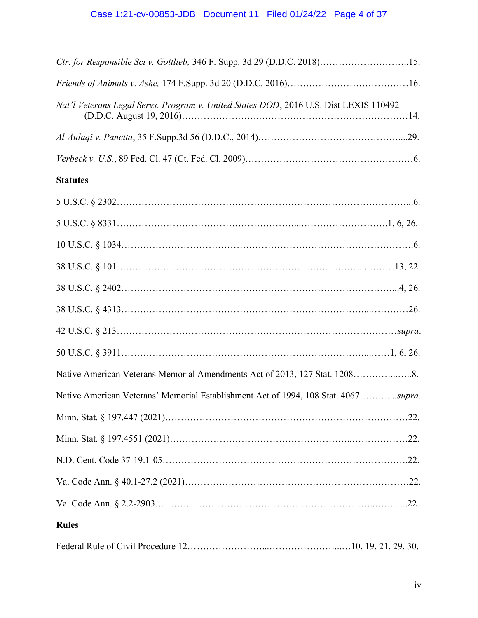| Ctr. for Responsible Sci v. Gottlieb, 346 F. Supp. 3d 29 (D.D.C. 2018)15.             |  |  |
|---------------------------------------------------------------------------------------|--|--|
|                                                                                       |  |  |
| Nat'l Veterans Legal Servs. Program v. United States DOD, 2016 U.S. Dist LEXIS 110492 |  |  |
|                                                                                       |  |  |
|                                                                                       |  |  |
| <b>Statutes</b>                                                                       |  |  |
|                                                                                       |  |  |
|                                                                                       |  |  |
|                                                                                       |  |  |
|                                                                                       |  |  |
|                                                                                       |  |  |
|                                                                                       |  |  |
|                                                                                       |  |  |
|                                                                                       |  |  |
| Native American Veterans Memorial Amendments Act of 2013, 127 Stat. 12088.            |  |  |
| Native American Veterans' Memorial Establishment Act of 1994, 108 Stat. 4067supra.    |  |  |
|                                                                                       |  |  |
|                                                                                       |  |  |
|                                                                                       |  |  |
|                                                                                       |  |  |
|                                                                                       |  |  |
| <b>Rules</b>                                                                          |  |  |
|                                                                                       |  |  |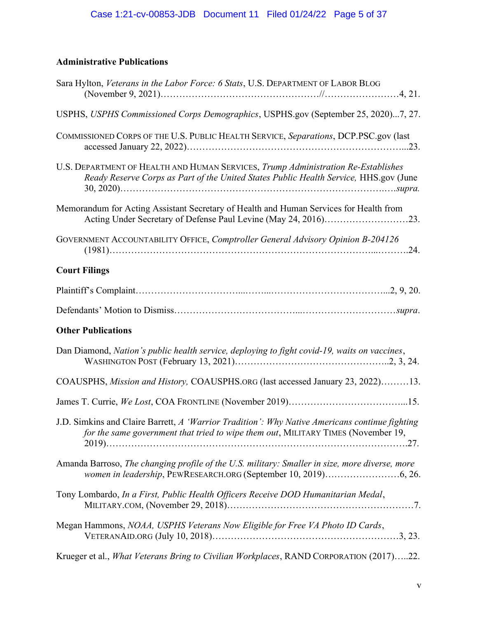## Administrative Publications

| Sara Hylton, Veterans in the Labor Force: 6 Stats, U.S. DEPARTMENT OF LABOR BLOG                                                                                                    |
|-------------------------------------------------------------------------------------------------------------------------------------------------------------------------------------|
| USPHS, USPHS Commissioned Corps Demographics, USPHS.gov (September 25, 2020)7, 27.                                                                                                  |
| COMMISSIONED CORPS OF THE U.S. PUBLIC HEALTH SERVICE, Separations, DCP.PSC.gov (last                                                                                                |
| U.S. DEPARTMENT OF HEALTH AND HUMAN SERVICES, Trump Administration Re-Establishes<br>Ready Reserve Corps as Part of the United States Public Health Service, HHS.gov (June          |
| Memorandum for Acting Assistant Secretary of Health and Human Services for Health from<br>Acting Under Secretary of Defense Paul Levine (May 24, 2016)23.                           |
| GOVERNMENT ACCOUNTABILITY OFFICE, Comptroller General Advisory Opinion B-204126                                                                                                     |
| <b>Court Filings</b>                                                                                                                                                                |
|                                                                                                                                                                                     |
|                                                                                                                                                                                     |
|                                                                                                                                                                                     |
| <b>Other Publications</b>                                                                                                                                                           |
| Dan Diamond, Nation's public health service, deploying to fight covid-19, waits on vaccines,                                                                                        |
| COAUSPHS, Mission and History, COAUSPHS.ORG (last accessed January 23, 2022)13.                                                                                                     |
|                                                                                                                                                                                     |
| J.D. Simkins and Claire Barrett, A 'Warrior Tradition': Why Native Americans continue fighting<br>for the same government that tried to wipe them out, MILITARY TIMES (November 19, |
| Amanda Barroso, The changing profile of the U.S. military: Smaller in size, more diverse, more<br>women in leadership, PEWRESEARCH.ORG (September 10, 2019)6, 26.                   |
| Tony Lombardo, In a First, Public Health Officers Receive DOD Humanitarian Medal,                                                                                                   |
| Megan Hammons, NOAA, USPHS Veterans Now Eligible for Free VA Photo ID Cards,                                                                                                        |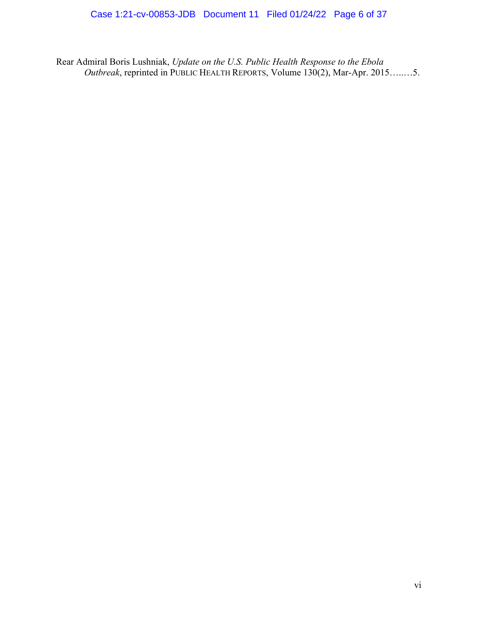Rear Admiral Boris Lushniak, Update on the U.S. Public Health Response to the Ebola Outbreak, reprinted in PUBLIC HEALTH REPORTS, Volume  $130(2)$ , Mar-Apr. 2015…....5.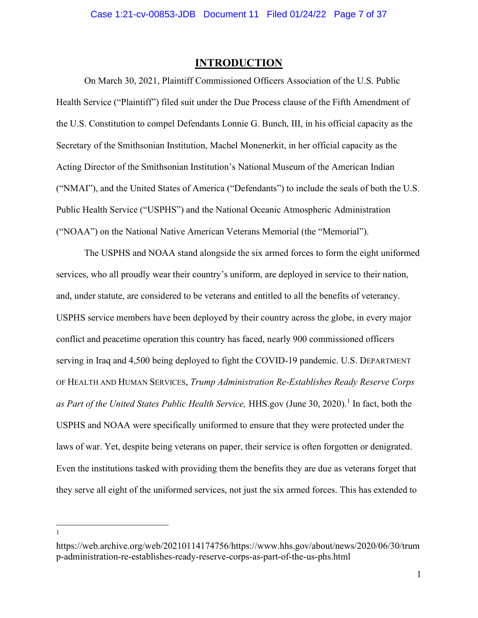#### INTRODUCTION

On March 30, 2021, Plaintiff Commissioned Officers Association of the U.S. Public Health Service ("Plaintiff") filed suit under the Due Process clause of the Fifth Amendment of the U.S. Constitution to compel Defendants Lonnie G. Bunch, III, in his official capacity as the Secretary of the Smithsonian Institution, Machel Monenerkit, in her official capacity as the Acting Director of the Smithsonian Institution's National Museum of the American Indian ("NMAI"), and the United States of America ("Defendants") to include the seals of both the U.S. Public Health Service ("USPHS") and the National Oceanic Atmospheric Administration ("NOAA") on the National Native American Veterans Memorial (the "Memorial").

The USPHS and NOAA stand alongside the six armed forces to form the eight uniformed services, who all proudly wear their country's uniform, are deployed in service to their nation, and, under statute, are considered to be veterans and entitled to all the benefits of veterancy. USPHS service members have been deployed by their country across the globe, in every major conflict and peacetime operation this country has faced, nearly 900 commissioned officers serving in Iraq and 4,500 being deployed to fight the COVID-19 pandemic. U.S. DEPARTMENT OF HEALTH AND HUMAN SERVICES, Trump Administration Re-Establishes Ready Reserve Corps as Part of the United States Public Health Service, HHS.gov (June 30, 2020).<sup>1</sup> In fact, both the USPHS and NOAA were specifically uniformed to ensure that they were protected under the laws of war. Yet, despite being veterans on paper, their service is often forgotten or denigrated. Even the institutions tasked with providing them the benefits they are due as veterans forget that they serve all eight of the uniformed services, not just the six armed forces. This has extended to

1

https://web.archive.org/web/20210114174756/https://www.hhs.gov/about/news/2020/06/30/trum p-administration-re-establishes-ready-reserve-corps-as-part-of-the-us-phs.html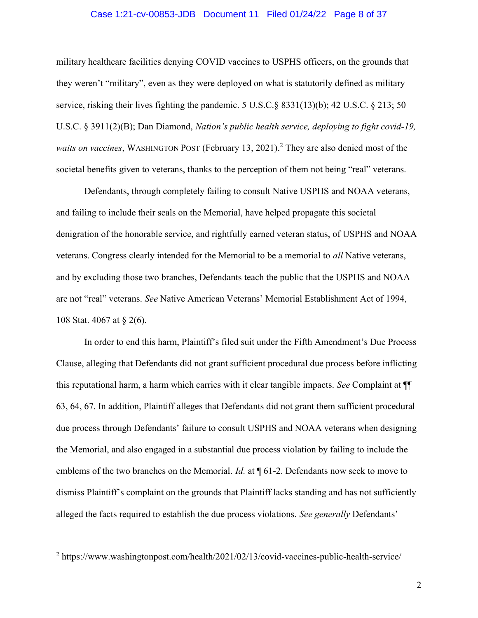#### Case 1:21-cv-00853-JDB Document 11 Filed 01/24/22 Page 8 of 37

military healthcare facilities denying COVID vaccines to USPHS officers, on the grounds that they weren't "military", even as they were deployed on what is statutorily defined as military service, risking their lives fighting the pandemic. 5 U.S.C.§ 8331(13)(b); 42 U.S.C. § 213; 50 U.S.C. § 3911(2)(B); Dan Diamond, Nation's public health service, deploying to fight covid-19, *waits on vaccines*, WASHINGTON POST (February 13, 2021).<sup>2</sup> They are also denied most of the societal benefits given to veterans, thanks to the perception of them not being "real" veterans.

Defendants, through completely failing to consult Native USPHS and NOAA veterans, and failing to include their seals on the Memorial, have helped propagate this societal denigration of the honorable service, and rightfully earned veteran status, of USPHS and NOAA veterans. Congress clearly intended for the Memorial to be a memorial to all Native veterans, and by excluding those two branches, Defendants teach the public that the USPHS and NOAA are not "real" veterans. See Native American Veterans' Memorial Establishment Act of 1994, 108 Stat. 4067 at § 2(6).

In order to end this harm, Plaintiff's filed suit under the Fifth Amendment's Due Process Clause, alleging that Defendants did not grant sufficient procedural due process before inflicting this reputational harm, a harm which carries with it clear tangible impacts. See Complaint at ¶¶ 63, 64, 67. In addition, Plaintiff alleges that Defendants did not grant them sufficient procedural due process through Defendants' failure to consult USPHS and NOAA veterans when designing the Memorial, and also engaged in a substantial due process violation by failing to include the emblems of the two branches on the Memorial. *Id.* at  $\P$  61-2. Defendants now seek to move to dismiss Plaintiff's complaint on the grounds that Plaintiff lacks standing and has not sufficiently alleged the facts required to establish the due process violations. See generally Defendants'

<sup>&</sup>lt;sup>2</sup> https://www.washingtonpost.com/health/2021/02/13/covid-vaccines-public-health-service/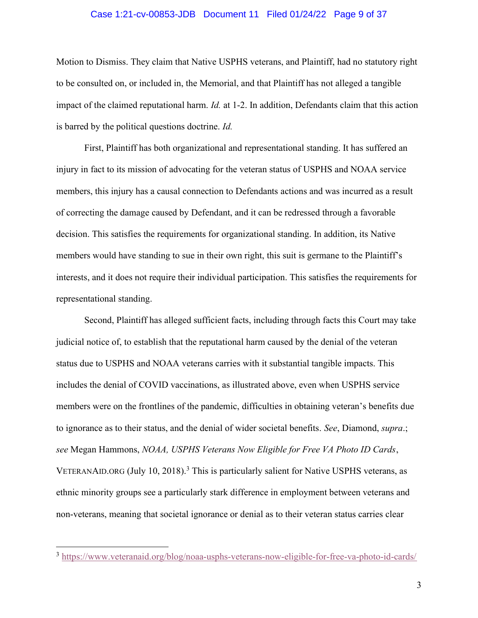#### Case 1:21-cv-00853-JDB Document 11 Filed 01/24/22 Page 9 of 37

Motion to Dismiss. They claim that Native USPHS veterans, and Plaintiff, had no statutory right to be consulted on, or included in, the Memorial, and that Plaintiff has not alleged a tangible impact of the claimed reputational harm. Id. at 1-2. In addition, Defendants claim that this action is barred by the political questions doctrine. Id.

First, Plaintiff has both organizational and representational standing. It has suffered an injury in fact to its mission of advocating for the veteran status of USPHS and NOAA service members, this injury has a causal connection to Defendants actions and was incurred as a result of correcting the damage caused by Defendant, and it can be redressed through a favorable decision. This satisfies the requirements for organizational standing. In addition, its Native members would have standing to sue in their own right, this suit is germane to the Plaintiff's interests, and it does not require their individual participation. This satisfies the requirements for representational standing.

Second, Plaintiff has alleged sufficient facts, including through facts this Court may take judicial notice of, to establish that the reputational harm caused by the denial of the veteran status due to USPHS and NOAA veterans carries with it substantial tangible impacts. This includes the denial of COVID vaccinations, as illustrated above, even when USPHS service members were on the frontlines of the pandemic, difficulties in obtaining veteran's benefits due to ignorance as to their status, and the denial of wider societal benefits. See, Diamond, supra.; see Megan Hammons, NOAA, USPHS Veterans Now Eligible for Free VA Photo ID Cards, VETERANAID.ORG (July 10, 2018).<sup>3</sup> This is particularly salient for Native USPHS veterans, as ethnic minority groups see a particularly stark difference in employment between veterans and non-veterans, meaning that societal ignorance or denial as to their veteran status carries clear

<sup>3</sup> https://www.veteranaid.org/blog/noaa-usphs-veterans-now-eligible-for-free-va-photo-id-cards/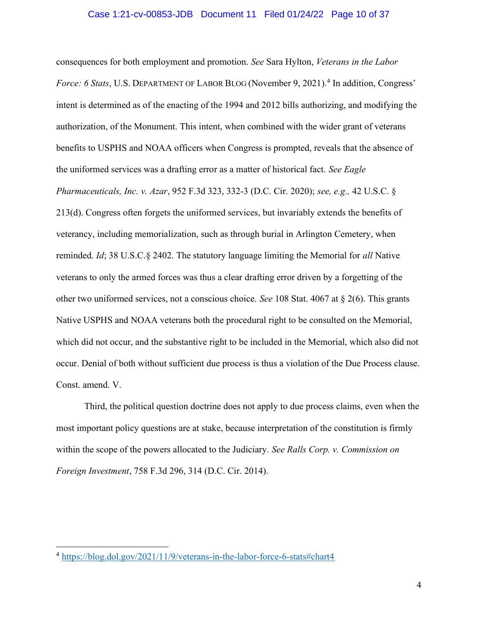#### Case 1:21-cv-00853-JDB Document 11 Filed 01/24/22 Page 10 of 37

consequences for both employment and promotion. See Sara Hylton, Veterans in the Labor Force: 6 Stats, U.S. DEPARTMENT OF LABOR BLOG (November 9, 2021).<sup>4</sup> In addition, Congress' intent is determined as of the enacting of the 1994 and 2012 bills authorizing, and modifying the authorization, of the Monument. This intent, when combined with the wider grant of veterans benefits to USPHS and NOAA officers when Congress is prompted, reveals that the absence of the uniformed services was a drafting error as a matter of historical fact. See Eagle Pharmaceuticals, Inc. v. Azar, 952 F.3d 323, 332-3 (D.C. Cir. 2020); see, e.g., 42 U.S.C. § 213(d). Congress often forgets the uniformed services, but invariably extends the benefits of veterancy, including memorialization, such as through burial in Arlington Cemetery, when reminded. Id; 38 U.S.C.§ 2402. The statutory language limiting the Memorial for all Native veterans to only the armed forces was thus a clear drafting error driven by a forgetting of the other two uniformed services, not a conscious choice. See 108 Stat. 4067 at  $\S$  2(6). This grants Native USPHS and NOAA veterans both the procedural right to be consulted on the Memorial, which did not occur, and the substantive right to be included in the Memorial, which also did not occur. Denial of both without sufficient due process is thus a violation of the Due Process clause. Const. amend. V.

Third, the political question doctrine does not apply to due process claims, even when the most important policy questions are at stake, because interpretation of the constitution is firmly within the scope of the powers allocated to the Judiciary. See Ralls Corp. v. Commission on Foreign Investment, 758 F.3d 296, 314 (D.C. Cir. 2014).

<sup>4</sup> https://blog.dol.gov/2021/11/9/veterans-in-the-labor-force-6-stats#chart4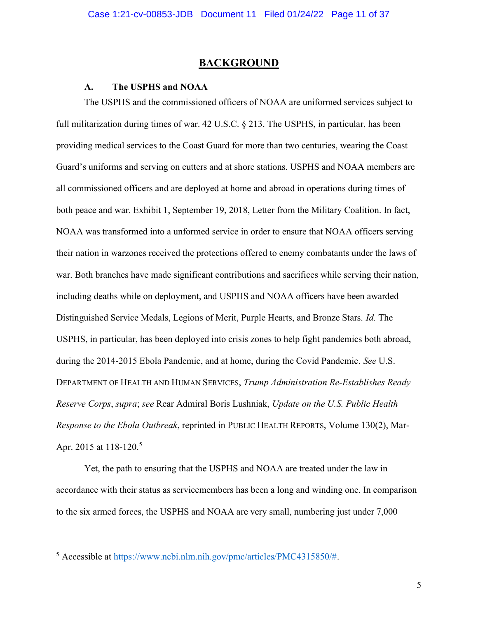#### **BACKGROUND**

#### A. The USPHS and NOAA

 The USPHS and the commissioned officers of NOAA are uniformed services subject to full militarization during times of war. 42 U.S.C. § 213. The USPHS, in particular, has been providing medical services to the Coast Guard for more than two centuries, wearing the Coast Guard's uniforms and serving on cutters and at shore stations. USPHS and NOAA members are all commissioned officers and are deployed at home and abroad in operations during times of both peace and war. Exhibit 1, September 19, 2018, Letter from the Military Coalition. In fact, NOAA was transformed into a unformed service in order to ensure that NOAA officers serving their nation in warzones received the protections offered to enemy combatants under the laws of war. Both branches have made significant contributions and sacrifices while serving their nation, including deaths while on deployment, and USPHS and NOAA officers have been awarded Distinguished Service Medals, Legions of Merit, Purple Hearts, and Bronze Stars. Id. The USPHS, in particular, has been deployed into crisis zones to help fight pandemics both abroad, during the 2014-2015 Ebola Pandemic, and at home, during the Covid Pandemic. See U.S. DEPARTMENT OF HEALTH AND HUMAN SERVICES, Trump Administration Re-Establishes Ready Reserve Corps, supra; see Rear Admiral Boris Lushniak, Update on the U.S. Public Health Response to the Ebola Outbreak, reprinted in PUBLIC HEALTH REPORTS, Volume 130(2), Mar-Apr. 2015 at 118-120.<sup>5</sup>

 Yet, the path to ensuring that the USPHS and NOAA are treated under the law in accordance with their status as servicemembers has been a long and winding one. In comparison to the six armed forces, the USPHS and NOAA are very small, numbering just under 7,000

 $5$  Accessible at https://www.ncbi.nlm.nih.gov/pmc/articles/PMC4315850/#.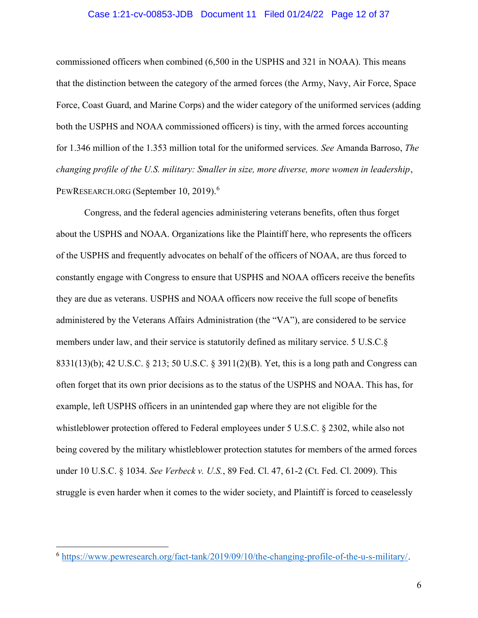#### Case 1:21-cv-00853-JDB Document 11 Filed 01/24/22 Page 12 of 37

commissioned officers when combined (6,500 in the USPHS and 321 in NOAA). This means that the distinction between the category of the armed forces (the Army, Navy, Air Force, Space Force, Coast Guard, and Marine Corps) and the wider category of the uniformed services (adding both the USPHS and NOAA commissioned officers) is tiny, with the armed forces accounting for 1.346 million of the 1.353 million total for the uniformed services. See Amanda Barroso, The changing profile of the U.S. military: Smaller in size, more diverse, more women in leadership, PEWRESEARCH.ORG (September 10, 2019).<sup>6</sup>

Congress, and the federal agencies administering veterans benefits, often thus forget about the USPHS and NOAA. Organizations like the Plaintiff here, who represents the officers of the USPHS and frequently advocates on behalf of the officers of NOAA, are thus forced to constantly engage with Congress to ensure that USPHS and NOAA officers receive the benefits they are due as veterans. USPHS and NOAA officers now receive the full scope of benefits administered by the Veterans Affairs Administration (the "VA"), are considered to be service members under law, and their service is statutorily defined as military service. 5 U.S.C.§ 8331(13)(b); 42 U.S.C. § 213; 50 U.S.C. § 3911(2)(B). Yet, this is a long path and Congress can often forget that its own prior decisions as to the status of the USPHS and NOAA. This has, for example, left USPHS officers in an unintended gap where they are not eligible for the whistleblower protection offered to Federal employees under 5 U.S.C. § 2302, while also not being covered by the military whistleblower protection statutes for members of the armed forces under 10 U.S.C. § 1034. See Verbeck v. U.S., 89 Fed. Cl. 47, 61-2 (Ct. Fed. Cl. 2009). This struggle is even harder when it comes to the wider society, and Plaintiff is forced to ceaselessly

<sup>6</sup> https://www.pewresearch.org/fact-tank/2019/09/10/the-changing-profile-of-the-u-s-military/.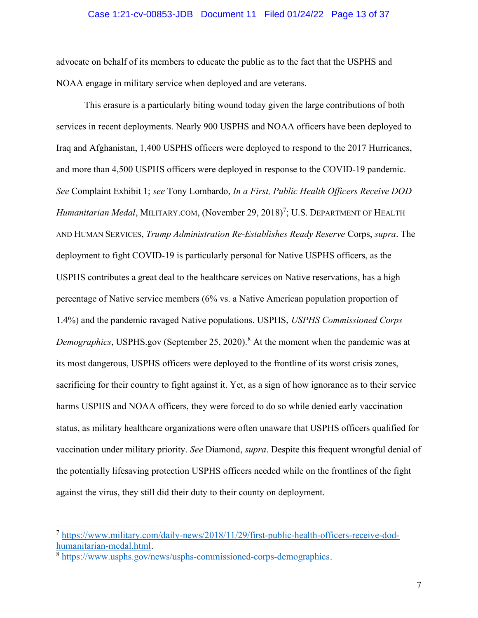#### Case 1:21-cv-00853-JDB Document 11 Filed 01/24/22 Page 13 of 37

advocate on behalf of its members to educate the public as to the fact that the USPHS and NOAA engage in military service when deployed and are veterans.

 This erasure is a particularly biting wound today given the large contributions of both services in recent deployments. Nearly 900 USPHS and NOAA officers have been deployed to Iraq and Afghanistan, 1,400 USPHS officers were deployed to respond to the 2017 Hurricanes, and more than 4,500 USPHS officers were deployed in response to the COVID-19 pandemic. See Complaint Exhibit 1; see Tony Lombardo, In a First, Public Health Officers Receive DOD Humanitarian Medal, MILITARY.COM, (November 29, 2018)<sup>7</sup>; U.S. DEPARTMENT OF HEALTH AND HUMAN SERVICES, Trump Administration Re-Establishes Ready Reserve Corps, supra. The deployment to fight COVID-19 is particularly personal for Native USPHS officers, as the USPHS contributes a great deal to the healthcare services on Native reservations, has a high percentage of Native service members (6% vs. a Native American population proportion of 1.4%) and the pandemic ravaged Native populations. USPHS, USPHS Commissioned Corps *Demographics*, USPHS.gov (September 25, 2020).<sup>8</sup> At the moment when the pandemic was at its most dangerous, USPHS officers were deployed to the frontline of its worst crisis zones, sacrificing for their country to fight against it. Yet, as a sign of how ignorance as to their service harms USPHS and NOAA officers, they were forced to do so while denied early vaccination status, as military healthcare organizations were often unaware that USPHS officers qualified for vaccination under military priority. See Diamond, supra. Despite this frequent wrongful denial of the potentially lifesaving protection USPHS officers needed while on the frontlines of the fight against the virus, they still did their duty to their county on deployment.

<sup>7</sup> https://www.military.com/daily-news/2018/11/29/first-public-health-officers-receive-dodhumanitarian-medal.html.

<sup>&</sup>lt;sup>8</sup> https://www.usphs.gov/news/usphs-commissioned-corps-demographics.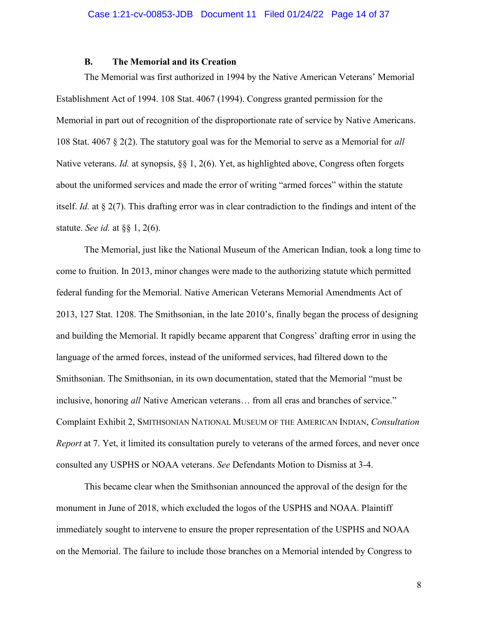#### B. The Memorial and its Creation

 The Memorial was first authorized in 1994 by the Native American Veterans' Memorial Establishment Act of 1994. 108 Stat. 4067 (1994). Congress granted permission for the Memorial in part out of recognition of the disproportionate rate of service by Native Americans. 108 Stat. 4067 § 2(2). The statutory goal was for the Memorial to serve as a Memorial for all Native veterans. *Id.* at synopsis, §§ 1, 2(6). Yet, as highlighted above, Congress often forgets about the uniformed services and made the error of writing "armed forces" within the statute itself. Id. at § 2(7). This drafting error was in clear contradiction to the findings and intent of the statute. See id. at  $\S$  1, 2(6).

 The Memorial, just like the National Museum of the American Indian, took a long time to come to fruition. In 2013, minor changes were made to the authorizing statute which permitted federal funding for the Memorial. Native American Veterans Memorial Amendments Act of 2013, 127 Stat. 1208. The Smithsonian, in the late 2010's, finally began the process of designing and building the Memorial. It rapidly became apparent that Congress' drafting error in using the language of the armed forces, instead of the uniformed services, had filtered down to the Smithsonian. The Smithsonian, in its own documentation, stated that the Memorial "must be inclusive, honoring all Native American veterans… from all eras and branches of service." Complaint Exhibit 2, SMITHSONIAN NATIONAL MUSEUM OF THE AMERICAN INDIAN, Consultation Report at 7. Yet, it limited its consultation purely to veterans of the armed forces, and never once consulted any USPHS or NOAA veterans. See Defendants Motion to Dismiss at 3-4.

 This became clear when the Smithsonian announced the approval of the design for the monument in June of 2018, which excluded the logos of the USPHS and NOAA. Plaintiff immediately sought to intervene to ensure the proper representation of the USPHS and NOAA on the Memorial. The failure to include those branches on a Memorial intended by Congress to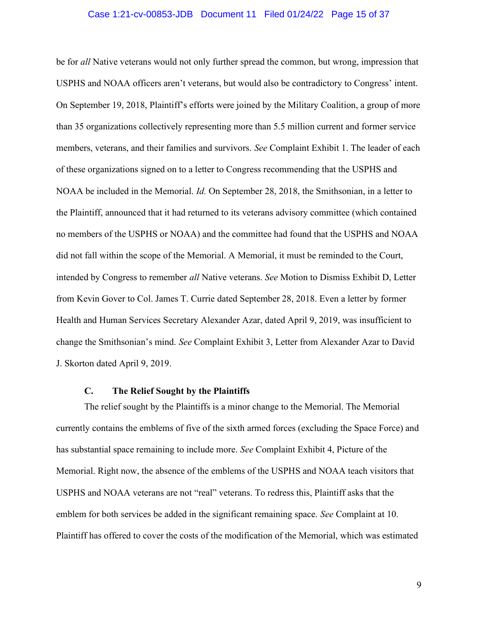#### Case 1:21-cv-00853-JDB Document 11 Filed 01/24/22 Page 15 of 37

be for *all* Native veterans would not only further spread the common, but wrong, impression that USPHS and NOAA officers aren't veterans, but would also be contradictory to Congress' intent. On September 19, 2018, Plaintiff's efforts were joined by the Military Coalition, a group of more than 35 organizations collectively representing more than 5.5 million current and former service members, veterans, and their families and survivors. See Complaint Exhibit 1. The leader of each of these organizations signed on to a letter to Congress recommending that the USPHS and NOAA be included in the Memorial. Id. On September 28, 2018, the Smithsonian, in a letter to the Plaintiff, announced that it had returned to its veterans advisory committee (which contained no members of the USPHS or NOAA) and the committee had found that the USPHS and NOAA did not fall within the scope of the Memorial. A Memorial, it must be reminded to the Court, intended by Congress to remember all Native veterans. See Motion to Dismiss Exhibit D, Letter from Kevin Gover to Col. James T. Currie dated September 28, 2018. Even a letter by former Health and Human Services Secretary Alexander Azar, dated April 9, 2019, was insufficient to change the Smithsonian's mind. See Complaint Exhibit 3, Letter from Alexander Azar to David J. Skorton dated April 9, 2019.

#### C. The Relief Sought by the Plaintiffs

The relief sought by the Plaintiffs is a minor change to the Memorial. The Memorial currently contains the emblems of five of the sixth armed forces (excluding the Space Force) and has substantial space remaining to include more. See Complaint Exhibit 4, Picture of the Memorial. Right now, the absence of the emblems of the USPHS and NOAA teach visitors that USPHS and NOAA veterans are not "real" veterans. To redress this, Plaintiff asks that the emblem for both services be added in the significant remaining space. See Complaint at 10. Plaintiff has offered to cover the costs of the modification of the Memorial, which was estimated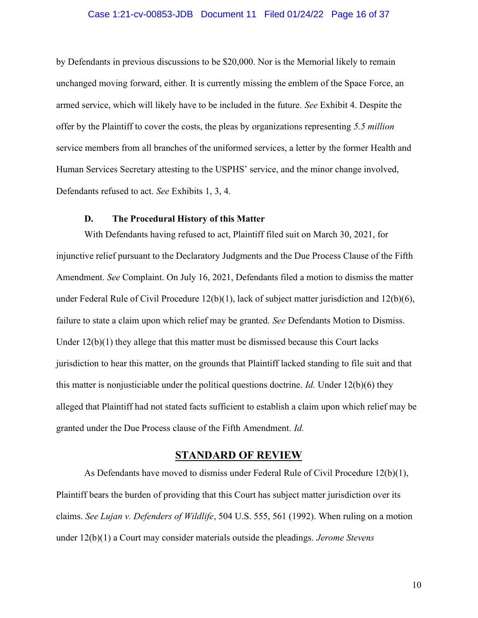#### Case 1:21-cv-00853-JDB Document 11 Filed 01/24/22 Page 16 of 37

by Defendants in previous discussions to be \$20,000. Nor is the Memorial likely to remain unchanged moving forward, either. It is currently missing the emblem of the Space Force, an armed service, which will likely have to be included in the future. See Exhibit 4. Despite the offer by the Plaintiff to cover the costs, the pleas by organizations representing 5.5 million service members from all branches of the uniformed services, a letter by the former Health and Human Services Secretary attesting to the USPHS' service, and the minor change involved, Defendants refused to act. See Exhibits 1, 3, 4.

#### D. The Procedural History of this Matter

 With Defendants having refused to act, Plaintiff filed suit on March 30, 2021, for injunctive relief pursuant to the Declaratory Judgments and the Due Process Clause of the Fifth Amendment. See Complaint. On July 16, 2021, Defendants filed a motion to dismiss the matter under Federal Rule of Civil Procedure 12(b)(1), lack of subject matter jurisdiction and 12(b)(6), failure to state a claim upon which relief may be granted. See Defendants Motion to Dismiss. Under  $12(b)(1)$  they allege that this matter must be dismissed because this Court lacks jurisdiction to hear this matter, on the grounds that Plaintiff lacked standing to file suit and that this matter is nonjusticiable under the political questions doctrine. *Id.* Under  $12(b)(6)$  they alleged that Plaintiff had not stated facts sufficient to establish a claim upon which relief may be granted under the Due Process clause of the Fifth Amendment. Id.

#### STANDARD OF REVIEW

 As Defendants have moved to dismiss under Federal Rule of Civil Procedure 12(b)(1), Plaintiff bears the burden of providing that this Court has subject matter jurisdiction over its claims. See Lujan v. Defenders of Wildlife, 504 U.S. 555, 561 (1992). When ruling on a motion under  $12(b)(1)$  a Court may consider materials outside the pleadings. *Jerome Stevens*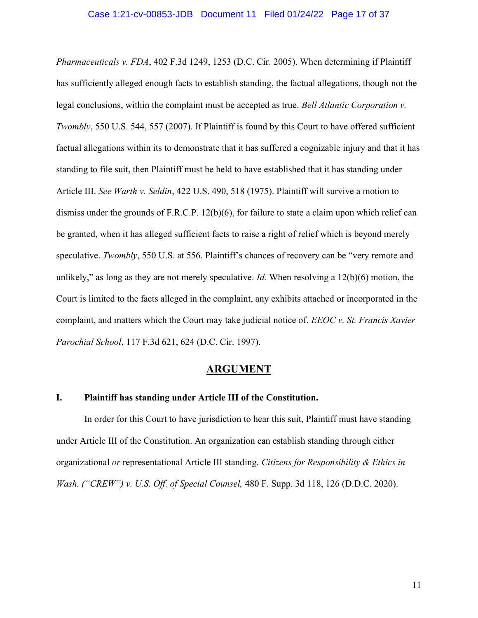Pharmaceuticals v. FDA, 402 F.3d 1249, 1253 (D.C. Cir. 2005). When determining if Plaintiff has sufficiently alleged enough facts to establish standing, the factual allegations, though not the legal conclusions, within the complaint must be accepted as true. Bell Atlantic Corporation v. Twombly, 550 U.S. 544, 557 (2007). If Plaintiff is found by this Court to have offered sufficient factual allegations within its to demonstrate that it has suffered a cognizable injury and that it has standing to file suit, then Plaintiff must be held to have established that it has standing under Article III. See Warth v. Seldin, 422 U.S. 490, 518 (1975). Plaintiff will survive a motion to dismiss under the grounds of F.R.C.P. 12(b)(6), for failure to state a claim upon which relief can be granted, when it has alleged sufficient facts to raise a right of relief which is beyond merely speculative. Twombly, 550 U.S. at 556. Plaintiff's chances of recovery can be "very remote and unlikely," as long as they are not merely speculative. *Id.* When resolving a  $12(b)(6)$  motion, the Court is limited to the facts alleged in the complaint, any exhibits attached or incorporated in the complaint, and matters which the Court may take judicial notice of.  $EEOC$  v. St. Francis Xavier Parochial School, 117 F.3d 621, 624 (D.C. Cir. 1997).

#### **ARGUMENT**

#### I. Plaintiff has standing under Article III of the Constitution.

 In order for this Court to have jurisdiction to hear this suit, Plaintiff must have standing under Article III of the Constitution. An organization can establish standing through either organizational or representational Article III standing. Citizens for Responsibility & Ethics in Wash. ("CREW") v. U.S. Off. of Special Counsel,  $480$  F. Supp. 3d 118, 126 (D.D.C. 2020).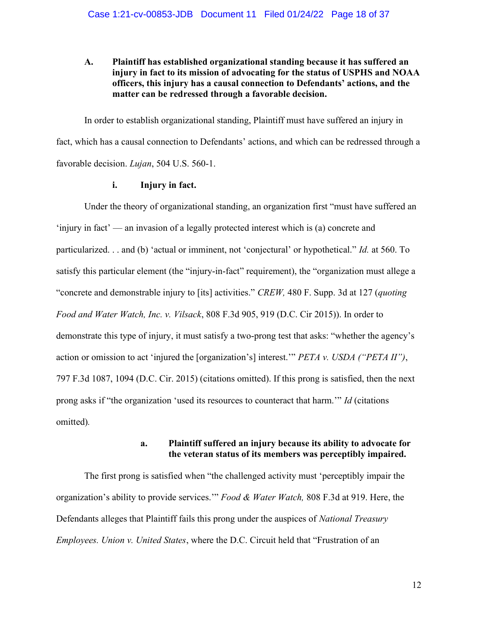#### A. Plaintiff has established organizational standing because it has suffered an injury in fact to its mission of advocating for the status of USPHS and NOAA officers, this injury has a causal connection to Defendants' actions, and the matter can be redressed through a favorable decision.

In order to establish organizational standing, Plaintiff must have suffered an injury in fact, which has a causal connection to Defendants' actions, and which can be redressed through a favorable decision. Lujan, 504 U.S. 560-1.

#### i. Injury in fact.

Under the theory of organizational standing, an organization first "must have suffered an 'injury in fact' — an invasion of a legally protected interest which is (a) concrete and particularized. . . and (b) 'actual or imminent, not 'conjectural' or hypothetical." Id. at 560. To satisfy this particular element (the "injury-in-fact" requirement), the "organization must allege a "concrete and demonstrable injury to [its] activities." CREW, 480 F. Supp. 3d at 127 (quoting Food and Water Watch, Inc. v. Vilsack, 808 F.3d 905, 919 (D.C. Cir 2015)). In order to demonstrate this type of injury, it must satisfy a two-prong test that asks: "whether the agency's action or omission to act 'injured the [organization's] interest." PETA v. USDA ("PETA II"), 797 F.3d 1087, 1094 (D.C. Cir. 2015) (citations omitted). If this prong is satisfied, then the next prong asks if "the organization 'used its resources to counteract that harm.'" Id (citations omitted).

#### a. Plaintiff suffered an injury because its ability to advocate for the veteran status of its members was perceptibly impaired.

The first prong is satisfied when "the challenged activity must 'perceptibly impair the organization's ability to provide services." Food & Water Watch, 808 F.3d at 919. Here, the Defendants alleges that Plaintiff fails this prong under the auspices of National Treasury Employees. Union v. United States, where the D.C. Circuit held that "Frustration of an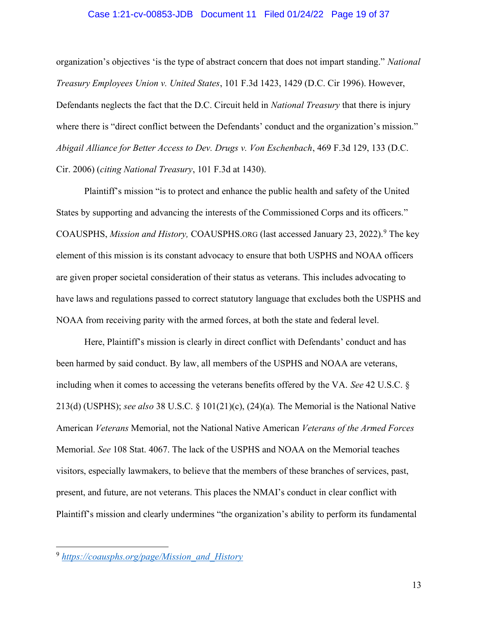#### Case 1:21-cv-00853-JDB Document 11 Filed 01/24/22 Page 19 of 37

organization's objectives 'is the type of abstract concern that does not impart standing." National Treasury Employees Union v. United States, 101 F.3d 1423, 1429 (D.C. Cir 1996). However, Defendants neglects the fact that the D.C. Circuit held in National Treasury that there is injury where there is "direct conflict between the Defendants' conduct and the organization's mission." Abigail Alliance for Better Access to Dev. Drugs v. Von Eschenbach, 469 F.3d 129, 133 (D.C. Cir. 2006) (citing National Treasury, 101 F.3d at 1430).

Plaintiff's mission "is to protect and enhance the public health and safety of the United States by supporting and advancing the interests of the Commissioned Corps and its officers." COAUSPHS, Mission and History, COAUSPHS.ORG (last accessed January 23, 2022).<sup>9</sup> The key element of this mission is its constant advocacy to ensure that both USPHS and NOAA officers are given proper societal consideration of their status as veterans. This includes advocating to have laws and regulations passed to correct statutory language that excludes both the USPHS and NOAA from receiving parity with the armed forces, at both the state and federal level.

 Here, Plaintiff's mission is clearly in direct conflict with Defendants' conduct and has been harmed by said conduct. By law, all members of the USPHS and NOAA are veterans, including when it comes to accessing the veterans benefits offered by the VA. See 42 U.S.C. § 213(d) (USPHS); see also 38 U.S.C. § 101(21)(c), (24)(a). The Memorial is the National Native American Veterans Memorial, not the National Native American Veterans of the Armed Forces Memorial. See 108 Stat. 4067. The lack of the USPHS and NOAA on the Memorial teaches visitors, especially lawmakers, to believe that the members of these branches of services, past, present, and future, are not veterans. This places the NMAI's conduct in clear conflict with Plaintiff's mission and clearly undermines "the organization's ability to perform its fundamental

<sup>9</sup> https://coausphs.org/page/Mission\_and\_History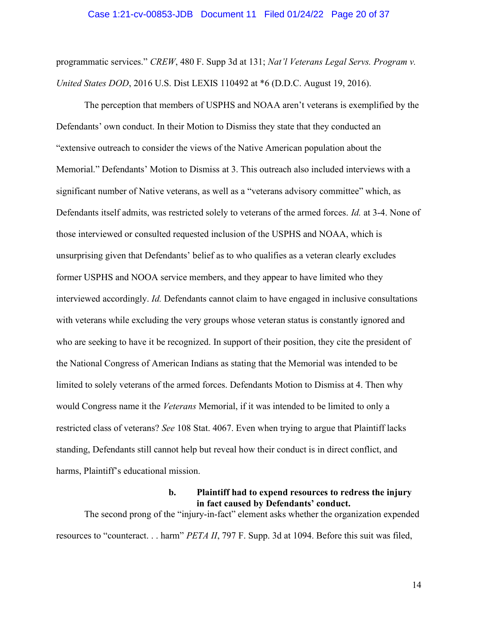#### Case 1:21-cv-00853-JDB Document 11 Filed 01/24/22 Page 20 of 37

programmatic services." CREW, 480 F. Supp 3d at 131; Nat'l Veterans Legal Servs. Program v. United States DOD, 2016 U.S. Dist LEXIS 110492 at \*6 (D.D.C. August 19, 2016).

 The perception that members of USPHS and NOAA aren't veterans is exemplified by the Defendants' own conduct. In their Motion to Dismiss they state that they conducted an "extensive outreach to consider the views of the Native American population about the Memorial." Defendants' Motion to Dismiss at 3. This outreach also included interviews with a significant number of Native veterans, as well as a "veterans advisory committee" which, as Defendants itself admits, was restricted solely to veterans of the armed forces. Id. at 3-4. None of those interviewed or consulted requested inclusion of the USPHS and NOAA, which is unsurprising given that Defendants' belief as to who qualifies as a veteran clearly excludes former USPHS and NOOA service members, and they appear to have limited who they interviewed accordingly. Id. Defendants cannot claim to have engaged in inclusive consultations with veterans while excluding the very groups whose veteran status is constantly ignored and who are seeking to have it be recognized. In support of their position, they cite the president of the National Congress of American Indians as stating that the Memorial was intended to be limited to solely veterans of the armed forces. Defendants Motion to Dismiss at 4. Then why would Congress name it the Veterans Memorial, if it was intended to be limited to only a restricted class of veterans? See 108 Stat. 4067. Even when trying to argue that Plaintiff lacks standing, Defendants still cannot help but reveal how their conduct is in direct conflict, and harms, Plaintiff's educational mission.

#### b. Plaintiff had to expend resources to redress the injury in fact caused by Defendants' conduct.

 The second prong of the "injury-in-fact" element asks whether the organization expended resources to "counteract. . . harm" PETA II, 797 F. Supp. 3d at 1094. Before this suit was filed,

14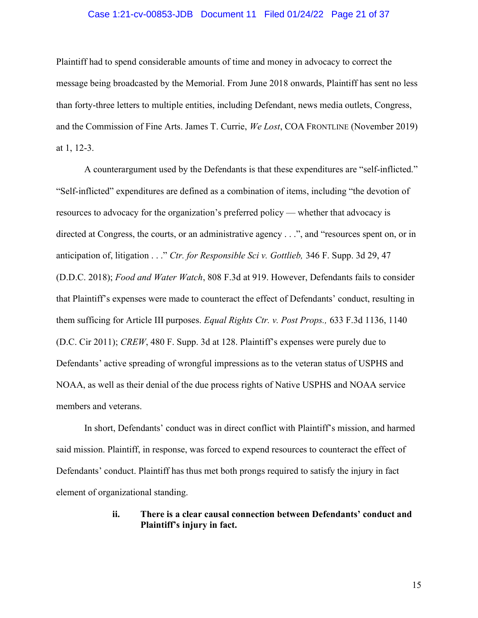#### Case 1:21-cv-00853-JDB Document 11 Filed 01/24/22 Page 21 of 37

Plaintiff had to spend considerable amounts of time and money in advocacy to correct the message being broadcasted by the Memorial. From June 2018 onwards, Plaintiff has sent no less than forty-three letters to multiple entities, including Defendant, news media outlets, Congress, and the Commission of Fine Arts. James T. Currie, We Lost, COA FRONTLINE (November 2019) at 1, 12-3.

A counterargument used by the Defendants is that these expenditures are "self-inflicted." "Self-inflicted" expenditures are defined as a combination of items, including "the devotion of resources to advocacy for the organization's preferred policy — whether that advocacy is directed at Congress, the courts, or an administrative agency . . .", and "resources spent on, or in anticipation of, litigation . . ." Ctr. for Responsible Sci v. Gottlieb, 346 F. Supp. 3d 29, 47 (D.D.C. 2018); Food and Water Watch, 808 F.3d at 919. However, Defendants fails to consider that Plaintiff's expenses were made to counteract the effect of Defendants' conduct, resulting in them sufficing for Article III purposes. Equal Rights Ctr. v. Post Props., 633 F.3d 1136, 1140 (D.C. Cir 2011); CREW, 480 F. Supp. 3d at 128. Plaintiff's expenses were purely due to Defendants' active spreading of wrongful impressions as to the veteran status of USPHS and NOAA, as well as their denial of the due process rights of Native USPHS and NOAA service members and veterans.

 In short, Defendants' conduct was in direct conflict with Plaintiff's mission, and harmed said mission. Plaintiff, in response, was forced to expend resources to counteract the effect of Defendants' conduct. Plaintiff has thus met both prongs required to satisfy the injury in fact element of organizational standing.

#### ii. There is a clear causal connection between Defendants' conduct and Plaintiff's injury in fact.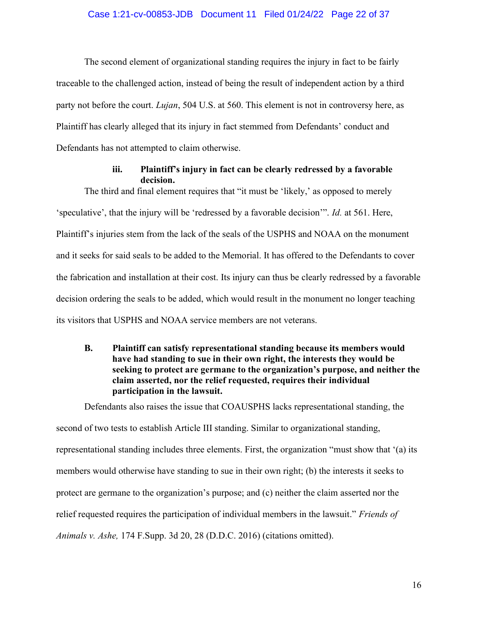#### Case 1:21-cv-00853-JDB Document 11 Filed 01/24/22 Page 22 of 37

The second element of organizational standing requires the injury in fact to be fairly traceable to the challenged action, instead of being the result of independent action by a third party not before the court. *Lujan*, 504 U.S. at 560. This element is not in controversy here, as Plaintiff has clearly alleged that its injury in fact stemmed from Defendants' conduct and Defendants has not attempted to claim otherwise.

#### iii. Plaintiff's injury in fact can be clearly redressed by a favorable decision.

The third and final element requires that "it must be 'likely,' as opposed to merely 'speculative', that the injury will be 'redressed by a favorable decision'". Id. at 561. Here, Plaintiff's injuries stem from the lack of the seals of the USPHS and NOAA on the monument and it seeks for said seals to be added to the Memorial. It has offered to the Defendants to cover the fabrication and installation at their cost. Its injury can thus be clearly redressed by a favorable decision ordering the seals to be added, which would result in the monument no longer teaching its visitors that USPHS and NOAA service members are not veterans.

#### B. Plaintiff can satisfy representational standing because its members would have had standing to sue in their own right, the interests they would be seeking to protect are germane to the organization's purpose, and neither the claim asserted, nor the relief requested, requires their individual participation in the lawsuit.

Defendants also raises the issue that COAUSPHS lacks representational standing, the second of two tests to establish Article III standing. Similar to organizational standing, representational standing includes three elements. First, the organization "must show that '(a) its members would otherwise have standing to sue in their own right; (b) the interests it seeks to protect are germane to the organization's purpose; and (c) neither the claim asserted nor the relief requested requires the participation of individual members in the lawsuit." Friends of Animals v. Ashe, 174 F.Supp. 3d 20, 28 (D.D.C. 2016) (citations omitted).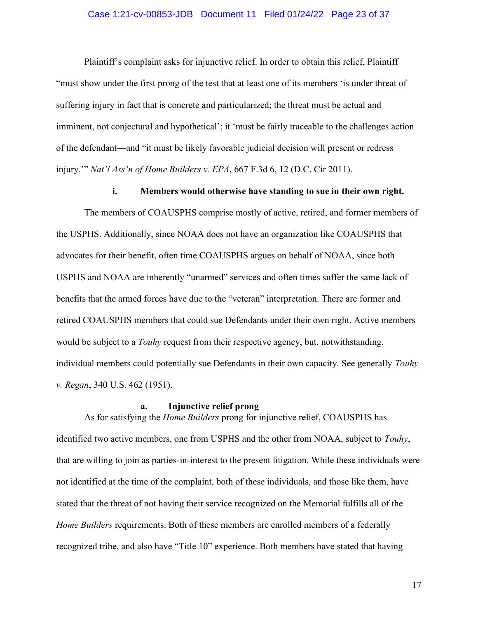#### Case 1:21-cv-00853-JDB Document 11 Filed 01/24/22 Page 23 of 37

Plaintiff's complaint asks for injunctive relief. In order to obtain this relief, Plaintiff "must show under the first prong of the test that at least one of its members 'is under threat of suffering injury in fact that is concrete and particularized; the threat must be actual and imminent, not conjectural and hypothetical'; it 'must be fairly traceable to the challenges action of the defendant—and "it must be likely favorable judicial decision will present or redress injury.'" Nat'l Ass'n of Home Builders v. EPA, 667 F.3d 6, 12 (D.C. Cir 2011).

#### i. Members would otherwise have standing to sue in their own right.

The members of COAUSPHS comprise mostly of active, retired, and former members of the USPHS. Additionally, since NOAA does not have an organization like COAUSPHS that advocates for their benefit, often time COAUSPHS argues on behalf of NOAA, since both USPHS and NOAA are inherently "unarmed" services and often times suffer the same lack of benefits that the armed forces have due to the "veteran" interpretation. There are former and retired COAUSPHS members that could sue Defendants under their own right. Active members would be subject to a *Touhy* request from their respective agency, but, notwithstanding, individual members could potentially sue Defendants in their own capacity. See generally *Touhy* v. Regan, 340 U.S. 462 (1951).

#### a. Injunctive relief prong

As for satisfying the *Home Builders* prong for injunctive relief, COAUSPHS has identified two active members, one from USPHS and the other from NOAA, subject to Touhy, that are willing to join as parties-in-interest to the present litigation. While these individuals were not identified at the time of the complaint, both of these individuals, and those like them, have stated that the threat of not having their service recognized on the Memorial fulfills all of the Home Builders requirements. Both of these members are enrolled members of a federally recognized tribe, and also have "Title 10" experience. Both members have stated that having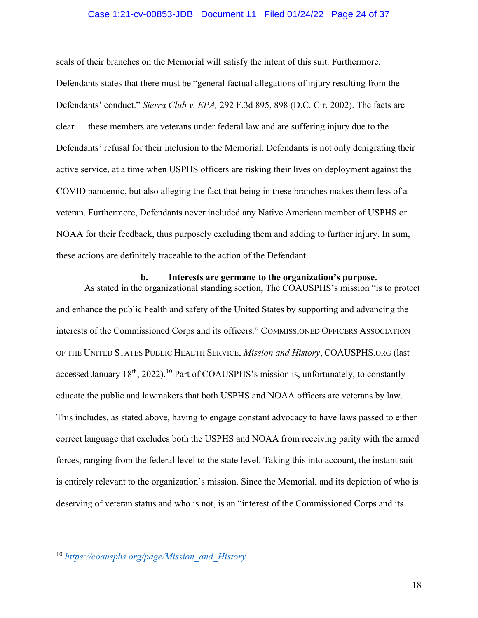#### Case 1:21-cv-00853-JDB Document 11 Filed 01/24/22 Page 24 of 37

seals of their branches on the Memorial will satisfy the intent of this suit. Furthermore, Defendants states that there must be "general factual allegations of injury resulting from the Defendants' conduct." Sierra Club v. EPA, 292 F.3d 895, 898 (D.C. Cir. 2002). The facts are clear — these members are veterans under federal law and are suffering injury due to the Defendants' refusal for their inclusion to the Memorial. Defendants is not only denigrating their active service, at a time when USPHS officers are risking their lives on deployment against the COVID pandemic, but also alleging the fact that being in these branches makes them less of a veteran. Furthermore, Defendants never included any Native American member of USPHS or NOAA for their feedback, thus purposely excluding them and adding to further injury. In sum, these actions are definitely traceable to the action of the Defendant.

#### b. Interests are germane to the organization's purpose.

As stated in the organizational standing section, The COAUSPHS's mission "is to protect and enhance the public health and safety of the United States by supporting and advancing the interests of the Commissioned Corps and its officers." COMMISSIONED OFFICERS ASSOCIATION OF THE UNITED STATES PUBLIC HEALTH SERVICE, Mission and History, COAUSPHS.ORG (last accessed January  $18<sup>th</sup>$ , 2022).<sup>10</sup> Part of COAUSPHS's mission is, unfortunately, to constantly educate the public and lawmakers that both USPHS and NOAA officers are veterans by law. This includes, as stated above, having to engage constant advocacy to have laws passed to either correct language that excludes both the USPHS and NOAA from receiving parity with the armed forces, ranging from the federal level to the state level. Taking this into account, the instant suit is entirely relevant to the organization's mission. Since the Memorial, and its depiction of who is deserving of veteran status and who is not, is an "interest of the Commissioned Corps and its

<sup>10</sup> https://coausphs.org/page/Mission\_and\_History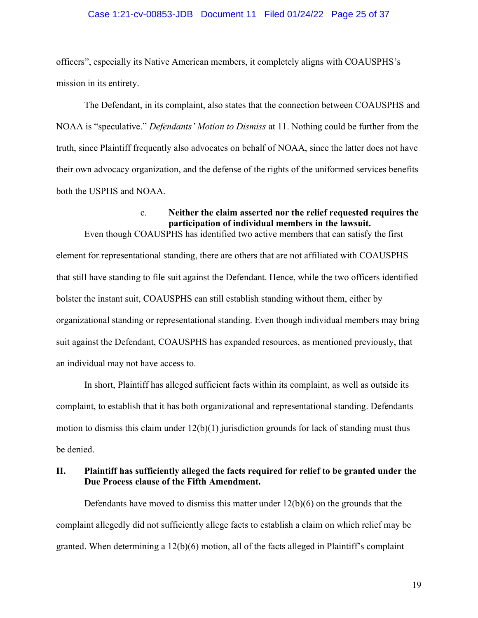#### Case 1:21-cv-00853-JDB Document 11 Filed 01/24/22 Page 25 of 37

officers", especially its Native American members, it completely aligns with COAUSPHS's mission in its entirety.

The Defendant, in its complaint, also states that the connection between COAUSPHS and NOAA is "speculative." *Defendants' Motion to Dismiss* at 11. Nothing could be further from the truth, since Plaintiff frequently also advocates on behalf of NOAA, since the latter does not have their own advocacy organization, and the defense of the rights of the uniformed services benefits both the USPHS and NOAA.

#### c. Neither the claim asserted nor the relief requested requires the participation of individual members in the lawsuit.

Even though COAUSPHS has identified two active members that can satisfy the first element for representational standing, there are others that are not affiliated with COAUSPHS that still have standing to file suit against the Defendant. Hence, while the two officers identified bolster the instant suit, COAUSPHS can still establish standing without them, either by organizational standing or representational standing. Even though individual members may bring suit against the Defendant, COAUSPHS has expanded resources, as mentioned previously, that an individual may not have access to.

In short, Plaintiff has alleged sufficient facts within its complaint, as well as outside its complaint, to establish that it has both organizational and representational standing. Defendants motion to dismiss this claim under  $12(b)(1)$  jurisdiction grounds for lack of standing must thus be denied.

#### II. Plaintiff has sufficiently alleged the facts required for relief to be granted under the Due Process clause of the Fifth Amendment.

Defendants have moved to dismiss this matter under  $12(b)(6)$  on the grounds that the complaint allegedly did not sufficiently allege facts to establish a claim on which relief may be granted. When determining a  $12(b)(6)$  motion, all of the facts alleged in Plaintiff's complaint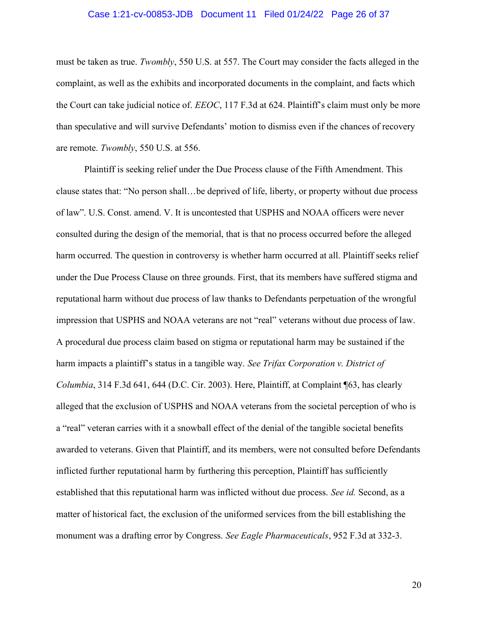#### Case 1:21-cv-00853-JDB Document 11 Filed 01/24/22 Page 26 of 37

must be taken as true. Twombly, 550 U.S. at 557. The Court may consider the facts alleged in the complaint, as well as the exhibits and incorporated documents in the complaint, and facts which the Court can take judicial notice of. EEOC, 117 F.3d at 624. Plaintiff's claim must only be more than speculative and will survive Defendants' motion to dismiss even if the chances of recovery are remote. Twombly, 550 U.S. at 556.

Plaintiff is seeking relief under the Due Process clause of the Fifth Amendment. This clause states that: "No person shall…be deprived of life, liberty, or property without due process of law". U.S. Const. amend. V. It is uncontested that USPHS and NOAA officers were never consulted during the design of the memorial, that is that no process occurred before the alleged harm occurred. The question in controversy is whether harm occurred at all. Plaintiff seeks relief under the Due Process Clause on three grounds. First, that its members have suffered stigma and reputational harm without due process of law thanks to Defendants perpetuation of the wrongful impression that USPHS and NOAA veterans are not "real" veterans without due process of law. A procedural due process claim based on stigma or reputational harm may be sustained if the harm impacts a plaintiff's status in a tangible way. See Trifax Corporation v. District of Columbia, 314 F.3d 641, 644 (D.C. Cir. 2003). Here, Plaintiff, at Complaint ¶63, has clearly alleged that the exclusion of USPHS and NOAA veterans from the societal perception of who is a "real" veteran carries with it a snowball effect of the denial of the tangible societal benefits awarded to veterans. Given that Plaintiff, and its members, were not consulted before Defendants inflicted further reputational harm by furthering this perception, Plaintiff has sufficiently established that this reputational harm was inflicted without due process. See id. Second, as a matter of historical fact, the exclusion of the uniformed services from the bill establishing the monument was a drafting error by Congress. See Eagle Pharmaceuticals, 952 F.3d at 332-3.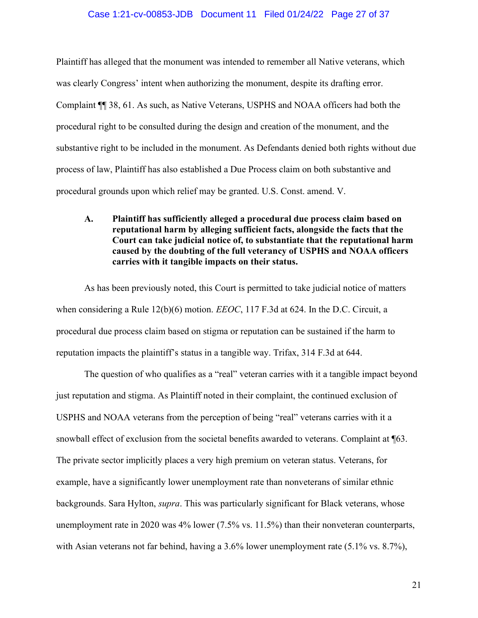#### Case 1:21-cv-00853-JDB Document 11 Filed 01/24/22 Page 27 of 37

Plaintiff has alleged that the monument was intended to remember all Native veterans, which was clearly Congress' intent when authorizing the monument, despite its drafting error. Complaint ¶¶ 38, 61. As such, as Native Veterans, USPHS and NOAA officers had both the procedural right to be consulted during the design and creation of the monument, and the substantive right to be included in the monument. As Defendants denied both rights without due process of law, Plaintiff has also established a Due Process claim on both substantive and procedural grounds upon which relief may be granted. U.S. Const. amend. V.

A. Plaintiff has sufficiently alleged a procedural due process claim based on reputational harm by alleging sufficient facts, alongside the facts that the Court can take judicial notice of, to substantiate that the reputational harm caused by the doubting of the full veterancy of USPHS and NOAA officers carries with it tangible impacts on their status.

As has been previously noted, this Court is permitted to take judicial notice of matters when considering a Rule 12(b)(6) motion. *EEOC*, 117 F.3d at 624. In the D.C. Circuit, a procedural due process claim based on stigma or reputation can be sustained if the harm to reputation impacts the plaintiff's status in a tangible way. Trifax, 314 F.3d at 644.

The question of who qualifies as a "real" veteran carries with it a tangible impact beyond just reputation and stigma. As Plaintiff noted in their complaint, the continued exclusion of USPHS and NOAA veterans from the perception of being "real" veterans carries with it a snowball effect of exclusion from the societal benefits awarded to veterans. Complaint at ¶63. The private sector implicitly places a very high premium on veteran status. Veterans, for example, have a significantly lower unemployment rate than nonveterans of similar ethnic backgrounds. Sara Hylton, supra. This was particularly significant for Black veterans, whose unemployment rate in 2020 was 4% lower (7.5% vs. 11.5%) than their nonveteran counterparts, with Asian veterans not far behind, having a 3.6% lower unemployment rate (5.1% vs. 8.7%),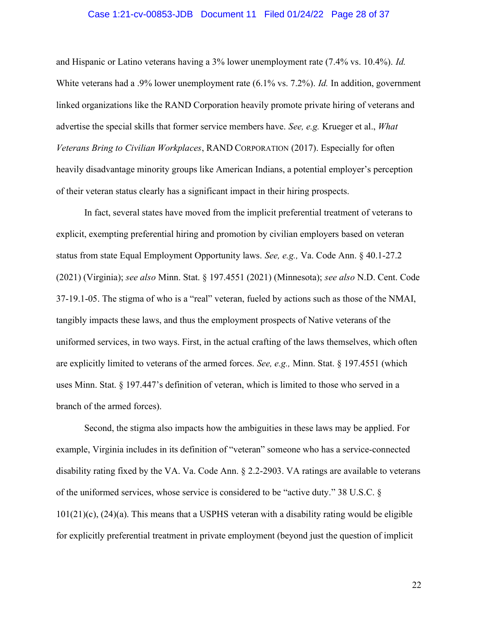#### Case 1:21-cv-00853-JDB Document 11 Filed 01/24/22 Page 28 of 37

and Hispanic or Latino veterans having a 3% lower unemployment rate (7.4% vs. 10.4%). Id. White veterans had a .9% lower unemployment rate (6.1% vs. 7.2%). Id. In addition, government linked organizations like the RAND Corporation heavily promote private hiring of veterans and advertise the special skills that former service members have. See, e.g. Krueger et al., What Veterans Bring to Civilian Workplaces, RAND CORPORATION (2017). Especially for often heavily disadvantage minority groups like American Indians, a potential employer's perception of their veteran status clearly has a significant impact in their hiring prospects.

In fact, several states have moved from the implicit preferential treatment of veterans to explicit, exempting preferential hiring and promotion by civilian employers based on veteran status from state Equal Employment Opportunity laws. See, e.g., Va. Code Ann. § 40.1-27.2 (2021) (Virginia); see also Minn. Stat. § 197.4551 (2021) (Minnesota); see also N.D. Cent. Code 37-19.1-05. The stigma of who is a "real" veteran, fueled by actions such as those of the NMAI, tangibly impacts these laws, and thus the employment prospects of Native veterans of the uniformed services, in two ways. First, in the actual crafting of the laws themselves, which often are explicitly limited to veterans of the armed forces. See, e.g., Minn. Stat. § 197.4551 (which uses Minn. Stat. § 197.447's definition of veteran, which is limited to those who served in a branch of the armed forces).

Second, the stigma also impacts how the ambiguities in these laws may be applied. For example, Virginia includes in its definition of "veteran" someone who has a service-connected disability rating fixed by the VA. Va. Code Ann. § 2.2-2903. VA ratings are available to veterans of the uniformed services, whose service is considered to be "active duty." 38 U.S.C. § 101(21)(c), (24)(a). This means that a USPHS veteran with a disability rating would be eligible for explicitly preferential treatment in private employment (beyond just the question of implicit

22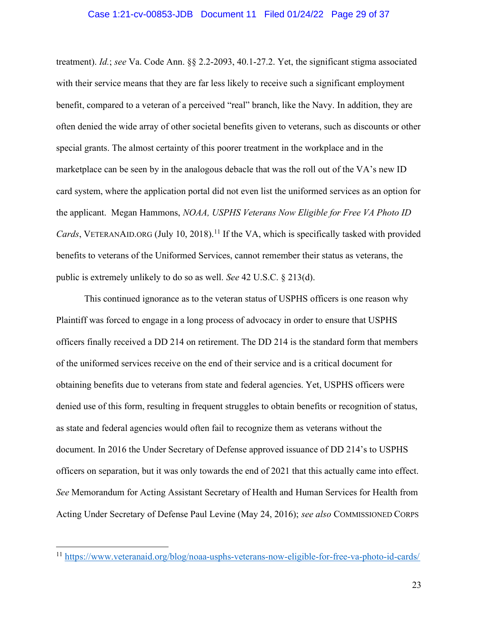#### Case 1:21-cv-00853-JDB Document 11 Filed 01/24/22 Page 29 of 37

treatment). Id.; see Va. Code Ann. §§ 2.2-2093, 40.1-27.2. Yet, the significant stigma associated with their service means that they are far less likely to receive such a significant employment benefit, compared to a veteran of a perceived "real" branch, like the Navy. In addition, they are often denied the wide array of other societal benefits given to veterans, such as discounts or other special grants. The almost certainty of this poorer treatment in the workplace and in the marketplace can be seen by in the analogous debacle that was the roll out of the VA's new ID card system, where the application portal did not even list the uniformed services as an option for the applicant. Megan Hammons, NOAA, USPHS Veterans Now Eligible for Free VA Photo ID Cards, VETERANAID.ORG (July 10, 2018).<sup>11</sup> If the VA, which is specifically tasked with provided benefits to veterans of the Uniformed Services, cannot remember their status as veterans, the public is extremely unlikely to do so as well. See 42 U.S.C. § 213(d).

This continued ignorance as to the veteran status of USPHS officers is one reason why Plaintiff was forced to engage in a long process of advocacy in order to ensure that USPHS officers finally received a DD 214 on retirement. The DD 214 is the standard form that members of the uniformed services receive on the end of their service and is a critical document for obtaining benefits due to veterans from state and federal agencies. Yet, USPHS officers were denied use of this form, resulting in frequent struggles to obtain benefits or recognition of status, as state and federal agencies would often fail to recognize them as veterans without the document. In 2016 the Under Secretary of Defense approved issuance of DD 214's to USPHS officers on separation, but it was only towards the end of 2021 that this actually came into effect. See Memorandum for Acting Assistant Secretary of Health and Human Services for Health from Acting Under Secretary of Defense Paul Levine (May 24, 2016); see also COMMISSIONED CORPS

<sup>11</sup> https://www.veteranaid.org/blog/noaa-usphs-veterans-now-eligible-for-free-va-photo-id-cards/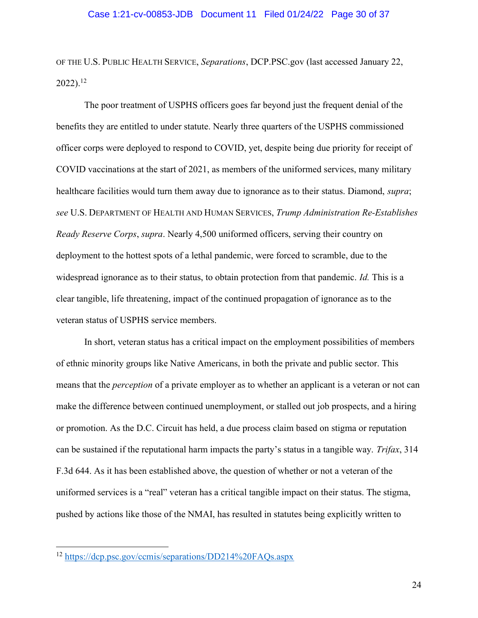OF THE U.S. PUBLIC HEALTH SERVICE, Separations, DCP.PSC.gov (last accessed January 22,  $2022$ ).<sup>12</sup>

The poor treatment of USPHS officers goes far beyond just the frequent denial of the benefits they are entitled to under statute. Nearly three quarters of the USPHS commissioned officer corps were deployed to respond to COVID, yet, despite being due priority for receipt of COVID vaccinations at the start of 2021, as members of the uniformed services, many military healthcare facilities would turn them away due to ignorance as to their status. Diamond, *supra*; see U.S. DEPARTMENT OF HEALTH AND HUMAN SERVICES, Trump Administration Re-Establishes Ready Reserve Corps, supra. Nearly 4,500 uniformed officers, serving their country on deployment to the hottest spots of a lethal pandemic, were forced to scramble, due to the widespread ignorance as to their status, to obtain protection from that pandemic. *Id.* This is a clear tangible, life threatening, impact of the continued propagation of ignorance as to the veteran status of USPHS service members.

In short, veteran status has a critical impact on the employment possibilities of members of ethnic minority groups like Native Americans, in both the private and public sector. This means that the *perception* of a private employer as to whether an applicant is a veteran or not can make the difference between continued unemployment, or stalled out job prospects, and a hiring or promotion. As the D.C. Circuit has held, a due process claim based on stigma or reputation can be sustained if the reputational harm impacts the party's status in a tangible way. Trifax, 314 F.3d 644. As it has been established above, the question of whether or not a veteran of the uniformed services is a "real" veteran has a critical tangible impact on their status. The stigma, pushed by actions like those of the NMAI, has resulted in statutes being explicitly written to

<sup>12</sup> https://dcp.psc.gov/ccmis/separations/DD214%20FAQs.aspx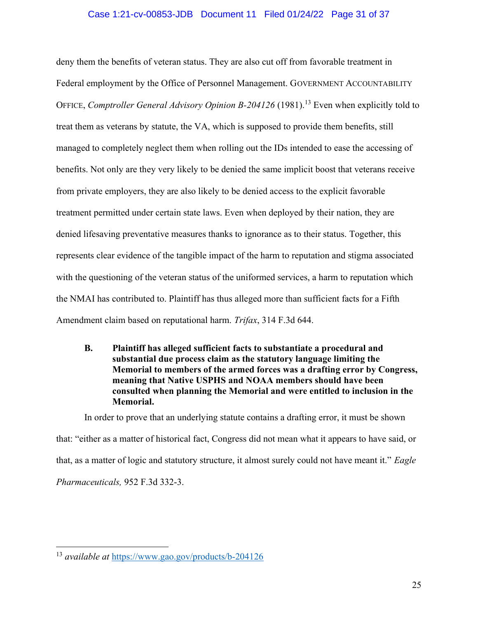#### Case 1:21-cv-00853-JDB Document 11 Filed 01/24/22 Page 31 of 37

deny them the benefits of veteran status. They are also cut off from favorable treatment in Federal employment by the Office of Personnel Management. GOVERNMENT ACCOUNTABILITY OFFICE, Comptroller General Advisory Opinion B-204126 (1981).<sup>13</sup> Even when explicitly told to treat them as veterans by statute, the VA, which is supposed to provide them benefits, still managed to completely neglect them when rolling out the IDs intended to ease the accessing of benefits. Not only are they very likely to be denied the same implicit boost that veterans receive from private employers, they are also likely to be denied access to the explicit favorable treatment permitted under certain state laws. Even when deployed by their nation, they are denied lifesaving preventative measures thanks to ignorance as to their status. Together, this represents clear evidence of the tangible impact of the harm to reputation and stigma associated with the questioning of the veteran status of the uniformed services, a harm to reputation which the NMAI has contributed to. Plaintiff has thus alleged more than sufficient facts for a Fifth Amendment claim based on reputational harm. Trifax, 314 F.3d 644.

B. Plaintiff has alleged sufficient facts to substantiate a procedural and substantial due process claim as the statutory language limiting the Memorial to members of the armed forces was a drafting error by Congress, meaning that Native USPHS and NOAA members should have been consulted when planning the Memorial and were entitled to inclusion in the Memorial.

In order to prove that an underlying statute contains a drafting error, it must be shown that: "either as a matter of historical fact, Congress did not mean what it appears to have said, or that, as a matter of logic and statutory structure, it almost surely could not have meant it." Eagle Pharmaceuticals, 952 F.3d 332-3.

<sup>13</sup> available at https://www.gao.gov/products/b-204126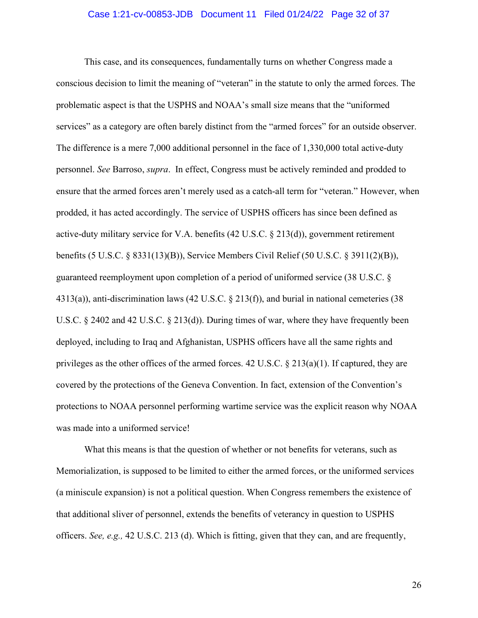#### Case 1:21-cv-00853-JDB Document 11 Filed 01/24/22 Page 32 of 37

 This case, and its consequences, fundamentally turns on whether Congress made a conscious decision to limit the meaning of "veteran" in the statute to only the armed forces. The problematic aspect is that the USPHS and NOAA's small size means that the "uniformed services" as a category are often barely distinct from the "armed forces" for an outside observer. The difference is a mere 7,000 additional personnel in the face of 1,330,000 total active-duty personnel. See Barroso, supra. In effect, Congress must be actively reminded and prodded to ensure that the armed forces aren't merely used as a catch-all term for "veteran." However, when prodded, it has acted accordingly. The service of USPHS officers has since been defined as active-duty military service for V.A. benefits (42 U.S.C. § 213(d)), government retirement benefits (5 U.S.C. § 8331(13)(B)), Service Members Civil Relief (50 U.S.C. § 3911(2)(B)), guaranteed reemployment upon completion of a period of uniformed service (38 U.S.C. § 4313(a)), anti-discrimination laws (42 U.S.C. § 213(f)), and burial in national cemeteries (38 U.S.C. § 2402 and 42 U.S.C. § 213(d)). During times of war, where they have frequently been deployed, including to Iraq and Afghanistan, USPHS officers have all the same rights and privileges as the other offices of the armed forces. 42 U.S.C. § 213(a)(1). If captured, they are covered by the protections of the Geneva Convention. In fact, extension of the Convention's protections to NOAA personnel performing wartime service was the explicit reason why NOAA was made into a uniformed service!

 What this means is that the question of whether or not benefits for veterans, such as Memorialization, is supposed to be limited to either the armed forces, or the uniformed services (a miniscule expansion) is not a political question. When Congress remembers the existence of that additional sliver of personnel, extends the benefits of veterancy in question to USPHS officers. See, e.g., 42 U.S.C. 213 (d). Which is fitting, given that they can, and are frequently,

26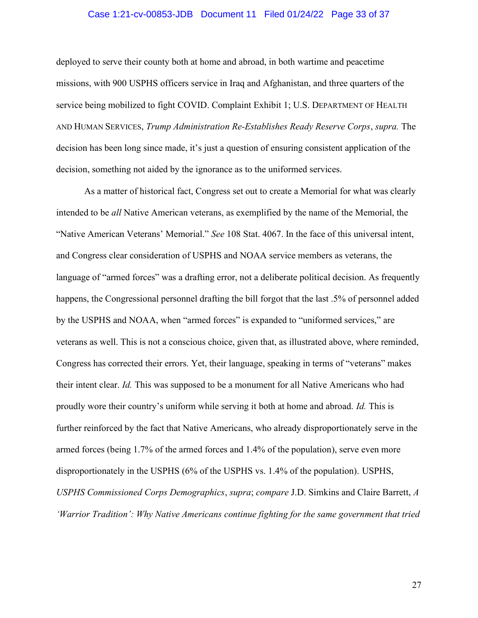#### Case 1:21-cv-00853-JDB Document 11 Filed 01/24/22 Page 33 of 37

deployed to serve their county both at home and abroad, in both wartime and peacetime missions, with 900 USPHS officers service in Iraq and Afghanistan, and three quarters of the service being mobilized to fight COVID. Complaint Exhibit 1; U.S. DEPARTMENT OF HEALTH AND HUMAN SERVICES, Trump Administration Re-Establishes Ready Reserve Corps, supra. The decision has been long since made, it's just a question of ensuring consistent application of the decision, something not aided by the ignorance as to the uniformed services.

 As a matter of historical fact, Congress set out to create a Memorial for what was clearly intended to be all Native American veterans, as exemplified by the name of the Memorial, the "Native American Veterans' Memorial." See 108 Stat. 4067. In the face of this universal intent, and Congress clear consideration of USPHS and NOAA service members as veterans, the language of "armed forces" was a drafting error, not a deliberate political decision. As frequently happens, the Congressional personnel drafting the bill forgot that the last .5% of personnel added by the USPHS and NOAA, when "armed forces" is expanded to "uniformed services," are veterans as well. This is not a conscious choice, given that, as illustrated above, where reminded, Congress has corrected their errors. Yet, their language, speaking in terms of "veterans" makes their intent clear. Id. This was supposed to be a monument for all Native Americans who had proudly wore their country's uniform while serving it both at home and abroad. Id. This is further reinforced by the fact that Native Americans, who already disproportionately serve in the armed forces (being 1.7% of the armed forces and 1.4% of the population), serve even more disproportionately in the USPHS (6% of the USPHS vs. 1.4% of the population). USPHS, USPHS Commissioned Corps Demographics, supra; compare J.D. Simkins and Claire Barrett, A 'Warrior Tradition': Why Native Americans continue fighting for the same government that tried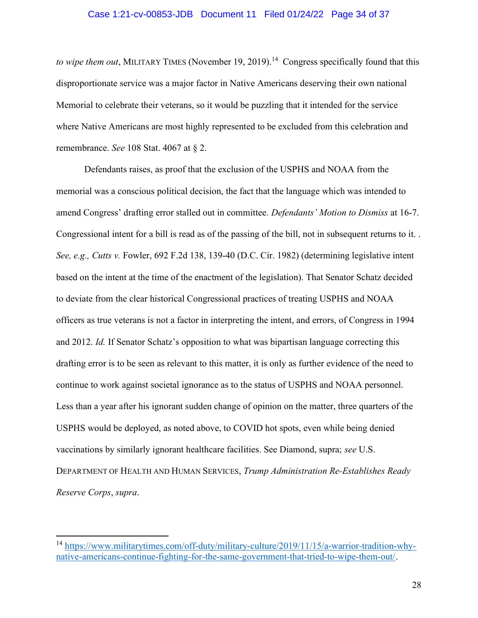#### Case 1:21-cv-00853-JDB Document 11 Filed 01/24/22 Page 34 of 37

to wipe them out, MILITARY TIMES (November 19, 2019).<sup>14</sup> Congress specifically found that this disproportionate service was a major factor in Native Americans deserving their own national Memorial to celebrate their veterans, so it would be puzzling that it intended for the service where Native Americans are most highly represented to be excluded from this celebration and remembrance. See 108 Stat. 4067 at § 2.

 Defendants raises, as proof that the exclusion of the USPHS and NOAA from the memorial was a conscious political decision, the fact that the language which was intended to amend Congress' drafting error stalled out in committee. Defendants' Motion to Dismiss at 16-7. Congressional intent for a bill is read as of the passing of the bill, not in subsequent returns to it. . See, e.g., Cutts v. Fowler, 692 F.2d 138, 139-40 (D.C. Cir. 1982) (determining legislative intent based on the intent at the time of the enactment of the legislation). That Senator Schatz decided to deviate from the clear historical Congressional practices of treating USPHS and NOAA officers as true veterans is not a factor in interpreting the intent, and errors, of Congress in 1994 and 2012. Id. If Senator Schatz's opposition to what was bipartisan language correcting this drafting error is to be seen as relevant to this matter, it is only as further evidence of the need to continue to work against societal ignorance as to the status of USPHS and NOAA personnel. Less than a year after his ignorant sudden change of opinion on the matter, three quarters of the USPHS would be deployed, as noted above, to COVID hot spots, even while being denied vaccinations by similarly ignorant healthcare facilities. See Diamond, supra; see U.S. DEPARTMENT OF HEALTH AND HUMAN SERVICES, Trump Administration Re-Establishes Ready Reserve Corps, supra.

<sup>14</sup> https://www.militarytimes.com/off-duty/military-culture/2019/11/15/a-warrior-tradition-whynative-americans-continue-fighting-for-the-same-government-that-tried-to-wipe-them-out/.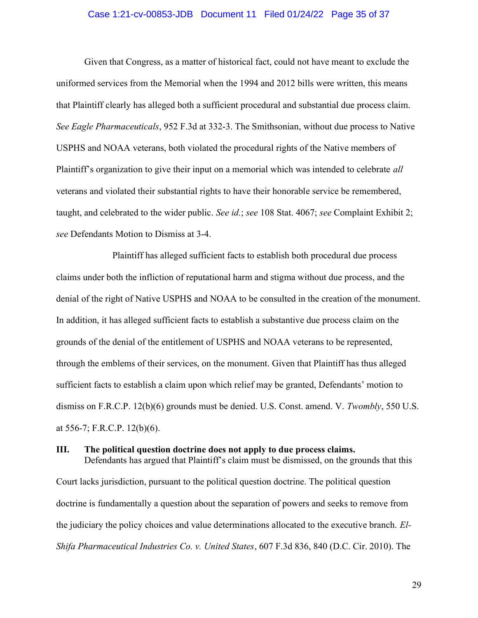#### Case 1:21-cv-00853-JDB Document 11 Filed 01/24/22 Page 35 of 37

 Given that Congress, as a matter of historical fact, could not have meant to exclude the uniformed services from the Memorial when the 1994 and 2012 bills were written, this means that Plaintiff clearly has alleged both a sufficient procedural and substantial due process claim. See Eagle Pharmaceuticals, 952 F.3d at 332-3. The Smithsonian, without due process to Native USPHS and NOAA veterans, both violated the procedural rights of the Native members of Plaintiff's organization to give their input on a memorial which was intended to celebrate *all* veterans and violated their substantial rights to have their honorable service be remembered, taught, and celebrated to the wider public. See id.; see 108 Stat. 4067; see Complaint Exhibit 2; see Defendants Motion to Dismiss at 3-4.

 Plaintiff has alleged sufficient facts to establish both procedural due process claims under both the infliction of reputational harm and stigma without due process, and the denial of the right of Native USPHS and NOAA to be consulted in the creation of the monument. In addition, it has alleged sufficient facts to establish a substantive due process claim on the grounds of the denial of the entitlement of USPHS and NOAA veterans to be represented, through the emblems of their services, on the monument. Given that Plaintiff has thus alleged sufficient facts to establish a claim upon which relief may be granted, Defendants' motion to dismiss on F.R.C.P. 12(b)(6) grounds must be denied. U.S. Const. amend. V. Twombly, 550 U.S. at 556-7; F.R.C.P. 12(b)(6).

#### III. The political question doctrine does not apply to due process claims.

Defendants has argued that Plaintiff's claim must be dismissed, on the grounds that this Court lacks jurisdiction, pursuant to the political question doctrine. The political question doctrine is fundamentally a question about the separation of powers and seeks to remove from the judiciary the policy choices and value determinations allocated to the executive branch. El-Shifa Pharmaceutical Industries Co. v. United States, 607 F.3d 836, 840 (D.C. Cir. 2010). The

29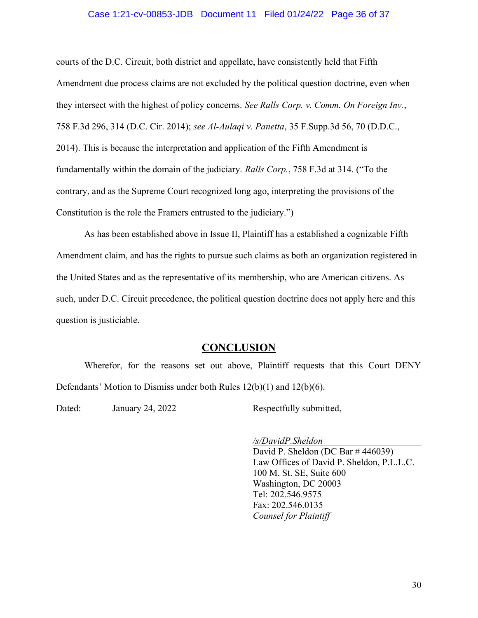#### Case 1:21-cv-00853-JDB Document 11 Filed 01/24/22 Page 36 of 37

courts of the D.C. Circuit, both district and appellate, have consistently held that Fifth Amendment due process claims are not excluded by the political question doctrine, even when they intersect with the highest of policy concerns. See Ralls Corp. v. Comm. On Foreign Inv., 758 F.3d 296, 314 (D.C. Cir. 2014); see Al-Aulaqi v. Panetta, 35 F.Supp.3d 56, 70 (D.D.C., 2014). This is because the interpretation and application of the Fifth Amendment is fundamentally within the domain of the judiciary. Ralls Corp., 758 F.3d at 314. ("To the contrary, and as the Supreme Court recognized long ago, interpreting the provisions of the Constitution is the role the Framers entrusted to the judiciary.")

As has been established above in Issue II, Plaintiff has a established a cognizable Fifth Amendment claim, and has the rights to pursue such claims as both an organization registered in the United States and as the representative of its membership, who are American citizens. As such, under D.C. Circuit precedence, the political question doctrine does not apply here and this question is justiciable.

#### **CONCLUSION**

 Wherefor, for the reasons set out above, Plaintiff requests that this Court DENY Defendants' Motion to Dismiss under both Rules 12(b)(1) and 12(b)(6).

Dated: January 24, 2022 Respectfully submitted,

/s/DavidP.Sheldon

David P. Sheldon (DC Bar # 446039) Law Offices of David P. Sheldon, P.L.L.C. 100 M. St. SE, Suite 600 Washington, DC 20003 Tel: 202.546.9575 Fax: 202.546.0135 Counsel for Plaintiff